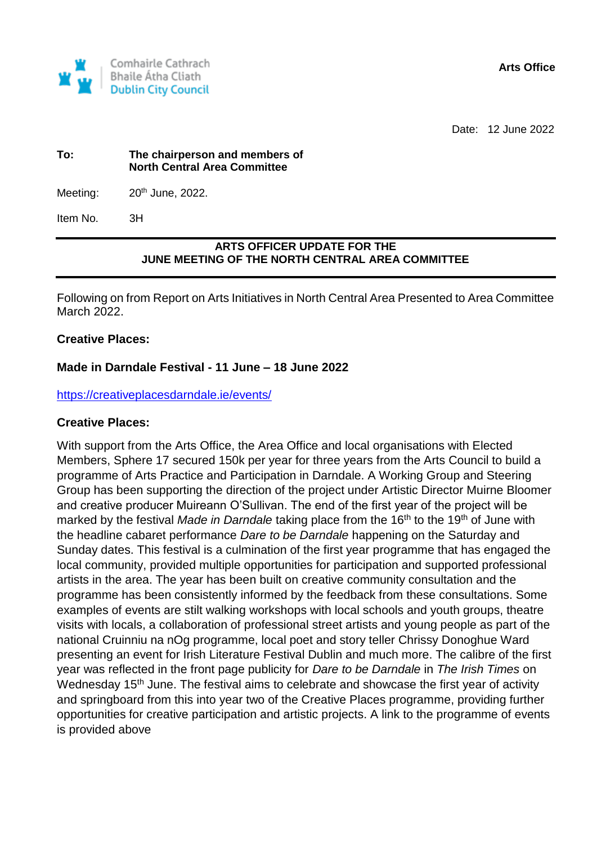

Date: 12 June 2022

#### **To: The chairperson and members of North Central Area Committee**

Meeting:  $20<sup>th</sup>$  June, 2022.

Item No. 3H

## **ARTS OFFICER UPDATE FOR THE JUNE MEETING OF THE NORTH CENTRAL AREA COMMITTEE**

Following on from Report on Arts Initiatives in North Central Area Presented to Area Committee March 2022.

## **Creative Places:**

## **Made in Darndale Festival - 11 June – 18 June 2022**

<https://creativeplacesdarndale.ie/events/>

### **Creative Places:**

With support from the Arts Office, the Area Office and local organisations with Elected Members, Sphere 17 secured 150k per year for three years from the Arts Council to build a programme of Arts Practice and Participation in Darndale. A Working Group and Steering Group has been supporting the direction of the project under Artistic Director Muirne Bloomer and creative producer Muireann O'Sullivan. The end of the first year of the project will be marked by the festival *Made in Darndale* taking place from the 16<sup>th</sup> to the 19<sup>th</sup> of June with the headline cabaret performance *Dare to be Darndale* happening on the Saturday and Sunday dates. This festival is a culmination of the first year programme that has engaged the local community, provided multiple opportunities for participation and supported professional artists in the area. The year has been built on creative community consultation and the programme has been consistently informed by the feedback from these consultations. Some examples of events are stilt walking workshops with local schools and youth groups, theatre visits with locals, a collaboration of professional street artists and young people as part of the national Cruinniu na nOg programme, local poet and story teller Chrissy Donoghue Ward presenting an event for Irish Literature Festival Dublin and much more. The calibre of the first year was reflected in the front page publicity for *Dare to be Darndale* in *The Irish Times* on Wednesday 15<sup>th</sup> June. The festival aims to celebrate and showcase the first year of activity and springboard from this into year two of the Creative Places programme, providing further opportunities for creative participation and artistic projects. A link to the programme of events is provided above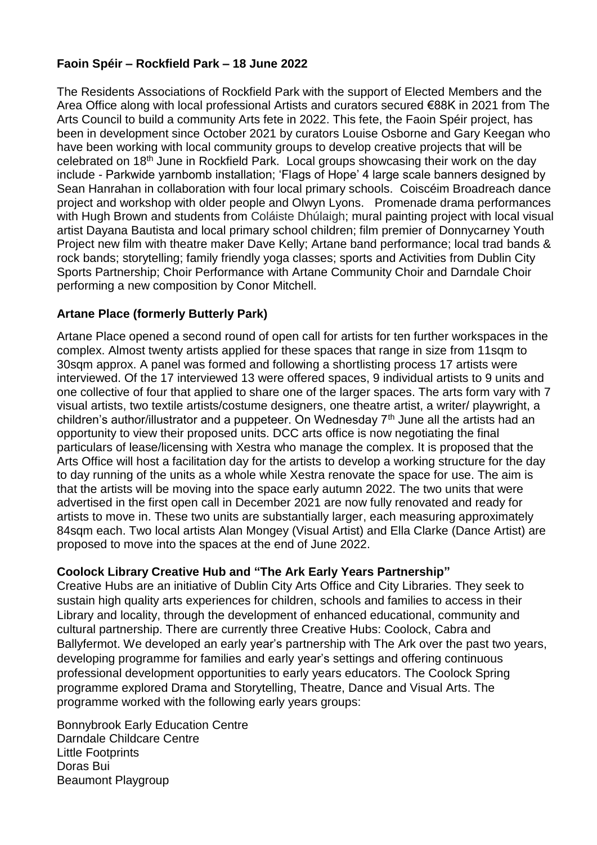# **Faoin Spéir – Rockfield Park – 18 June 2022**

The Residents Associations of Rockfield Park with the support of Elected Members and the Area Office along with local professional Artists and curators secured €88K in 2021 from The Arts Council to build a community Arts fete in 2022. This fete, the Faoin Spéir project, has been in development since October 2021 by curators Louise Osborne and Gary Keegan who have been working with local community groups to develop creative projects that will be celebrated on 18th June in Rockfield Park. Local groups showcasing their work on the day include - Parkwide yarnbomb installation; 'Flags of Hope' 4 large scale banners designed by Sean Hanrahan in collaboration with four local primary schools. Coiscéim Broadreach dance project and workshop with older people and Olwyn Lyons. Promenade drama performances with Hugh Brown and students from Coláiste Dhúlaigh; mural painting project with local visual artist Dayana Bautista and local primary school children; film premier of Donnycarney Youth Project new film with theatre maker Dave Kelly; Artane band performance; local trad bands & rock bands; storytelling; family friendly yoga classes; sports and Activities from Dublin City Sports Partnership; Choir Performance with Artane Community Choir and Darndale Choir performing a new composition by Conor Mitchell.

# **Artane Place (formerly Butterly Park)**

Artane Place opened a second round of open call for artists for ten further workspaces in the complex. Almost twenty artists applied for these spaces that range in size from 11sqm to 30sqm approx. A panel was formed and following a shortlisting process 17 artists were interviewed. Of the 17 interviewed 13 were offered spaces, 9 individual artists to 9 units and one collective of four that applied to share one of the larger spaces. The arts form vary with 7 visual artists, two textile artists/costume designers, one theatre artist, a writer/ playwright, a children's author/illustrator and a puppeteer. On Wednesday  $7<sup>th</sup>$  June all the artists had an opportunity to view their proposed units. DCC arts office is now negotiating the final particulars of lease/licensing with Xestra who manage the complex. It is proposed that the Arts Office will host a facilitation day for the artists to develop a working structure for the day to day running of the units as a whole while Xestra renovate the space for use. The aim is that the artists will be moving into the space early autumn 2022. The two units that were advertised in the first open call in December 2021 are now fully renovated and ready for artists to move in. These two units are substantially larger, each measuring approximately 84sqm each. Two local artists Alan Mongey (Visual Artist) and Ella Clarke (Dance Artist) are proposed to move into the spaces at the end of June 2022.

# **Coolock Library Creative Hub and "The Ark Early Years Partnership"**

Creative Hubs are an initiative of Dublin City Arts Office and City Libraries. They seek to sustain high quality arts experiences for children, schools and families to access in their Library and locality, through the development of enhanced educational, community and cultural partnership. There are currently three Creative Hubs: Coolock, Cabra and Ballyfermot. We developed an early year's partnership with The Ark over the past two years, developing programme for families and early year's settings and offering continuous professional development opportunities to early years educators. The Coolock Spring programme explored Drama and Storytelling, Theatre, Dance and Visual Arts. The programme worked with the following early years groups:

Bonnybrook Early Education Centre Darndale Childcare Centre Little Footprints Doras Bui Beaumont Playgroup